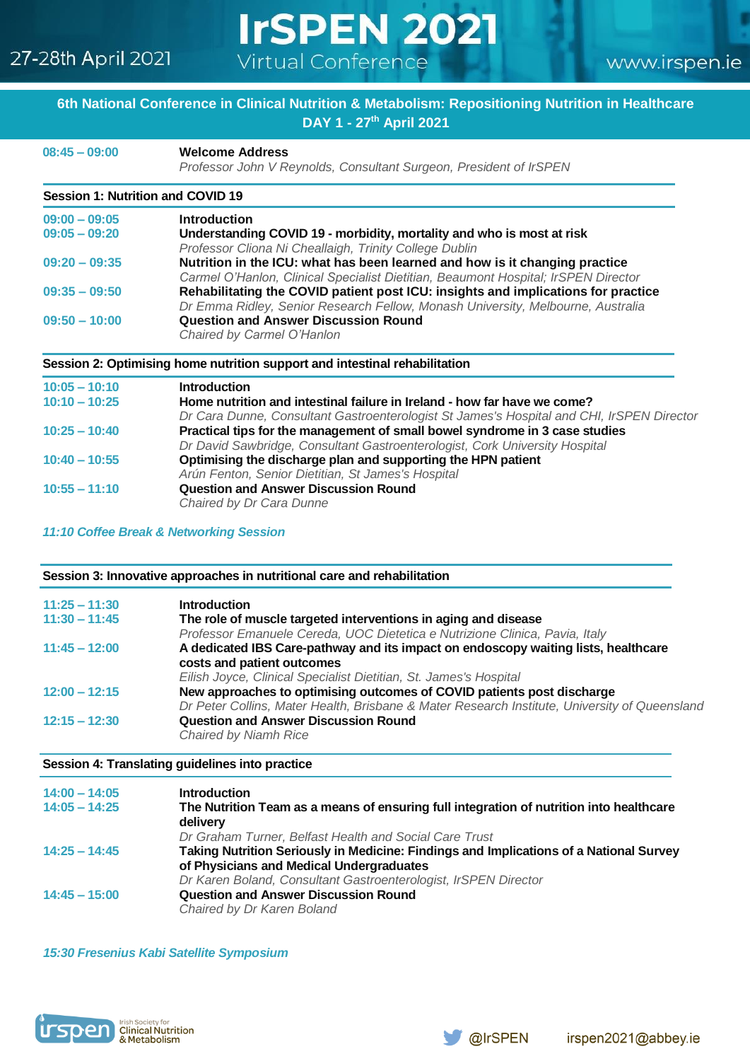## 27-28th April 2021

# **IrSPEN 2021** Virtual Conference

www.irspen.ie

### **6th National Conference in Clinical Nutrition & Metabolism: Repositioning Nutrition in Healthcare DAY 1 - 27th April 2021**

**08:45 – 09:00 Welcome Address**

 *Professor John V Reynolds, Consultant Surgeon, President of IrSPEN*

## **Session 1: Nutrition and COVID 19**

| $09:00 - 09:05$ | <b>Introduction</b>                                                                |
|-----------------|------------------------------------------------------------------------------------|
| $09:05 - 09:20$ | Understanding COVID 19 - morbidity, mortality and who is most at risk              |
|                 | Professor Cliona Ni Cheallaigh, Trinity College Dublin                             |
| $09:20 - 09:35$ | Nutrition in the ICU: what has been learned and how is it changing practice        |
|                 | Carmel O'Hanlon, Clinical Specialist Dietitian, Beaumont Hospital; IrSPEN Director |
| $09:35 - 09:50$ | Rehabilitating the COVID patient post ICU: insights and implications for practice  |
|                 | Dr Emma Ridley, Senior Research Fellow, Monash University, Melbourne, Australia    |
| $09:50 - 10:00$ | <b>Question and Answer Discussion Round</b>                                        |
|                 | Chaired by Carmel O'Hanlon                                                         |

#### **Session 2: Optimising home nutrition support and intestinal rehabilitation**

| $10:05 - 10:10$ | <b>Introduction</b>                                                                       |
|-----------------|-------------------------------------------------------------------------------------------|
| $10:10 - 10:25$ | Home nutrition and intestinal failure in Ireland - how far have we come?                  |
|                 | Dr Cara Dunne, Consultant Gastroenterologist St James's Hospital and CHI, IrSPEN Director |
| $10:25 - 10:40$ | Practical tips for the management of small bowel syndrome in 3 case studies               |
|                 | Dr David Sawbridge, Consultant Gastroenterologist, Cork University Hospital               |
| $10:40 - 10:55$ | Optimising the discharge plan and supporting the HPN patient                              |
|                 | Arún Fenton, Senior Dietitian, St James's Hospital                                        |
| $10:55 - 11:10$ | <b>Question and Answer Discussion Round</b>                                               |
|                 | Chaired by Dr Cara Dunne                                                                  |

*11:10 Coffee Break & Networking Session* 

#### **Session 3: Innovative approaches in nutritional care and rehabilitation**

| $11:25 - 11:30$ | <b>Introduction</b>                                                                           |
|-----------------|-----------------------------------------------------------------------------------------------|
| $11:30 - 11:45$ | The role of muscle targeted interventions in aging and disease                                |
|                 | Professor Emanuele Cereda, UOC Dietetica e Nutrizione Clinica, Pavia, Italy                   |
| $11:45 - 12:00$ | A dedicated IBS Care-pathway and its impact on endoscopy waiting lists, healthcare            |
|                 | costs and patient outcomes                                                                    |
|                 | Eilish Joyce, Clinical Specialist Dietitian, St. James's Hospital                             |
| $12:00 - 12:15$ | New approaches to optimising outcomes of COVID patients post discharge                        |
|                 | Dr Peter Collins, Mater Health, Brisbane & Mater Research Institute, University of Queensland |
| $12:15 - 12:30$ | <b>Question and Answer Discussion Round</b>                                                   |
|                 | Chaired by Niamh Rice                                                                         |
|                 |                                                                                               |

#### **Session 4: Translating guidelines into practice**

| $14:00 - 14:05$ | <b>Introduction</b>                                                                     |
|-----------------|-----------------------------------------------------------------------------------------|
| $14:05 - 14:25$ | The Nutrition Team as a means of ensuring full integration of nutrition into healthcare |
|                 | delivery                                                                                |
|                 | Dr Graham Turner, Belfast Health and Social Care Trust                                  |
| $14:25 - 14:45$ | Taking Nutrition Seriously in Medicine: Findings and Implications of a National Survey  |
|                 | of Physicians and Medical Undergraduates                                                |
|                 | Dr Karen Boland, Consultant Gastroenterologist, IrSPEN Director                         |
| $14:45 - 15:00$ | <b>Question and Answer Discussion Round</b>                                             |
|                 | Chaired by Dr Karen Boland                                                              |

*15:30 Fresenius Kabi Satellite Symposium*